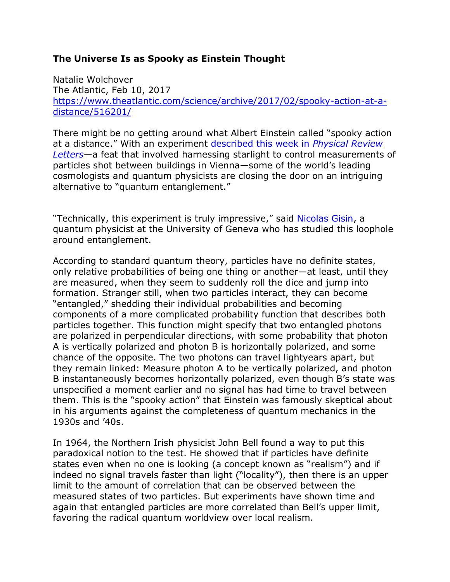## **The Universe Is as Spooky as Einstein Thought**

Natalie Wolchover The Atlantic, Feb 10, 2017 [https://www.theatlantic.com/science/archive/2017/02/spooky-action-at-a](https://www.theatlantic.com/science/archive/2017/02/spooky-action-at-a-distance/516201/)[distance/516201/](https://www.theatlantic.com/science/archive/2017/02/spooky-action-at-a-distance/516201/)

There might be no getting around what Albert Einstein called "spooky action at a distance." With an experiment [described this week in](http://journals.aps.org/prl/abstract/10.1103/PhysRevLett.118.060401) *Physical Review [Letters](http://journals.aps.org/prl/abstract/10.1103/PhysRevLett.118.060401)*—a feat that involved harnessing starlight to control measurements of particles shot between buildings in Vienna—some of the world's leading cosmologists and quantum physicists are closing the door on an intriguing alternative to "quantum entanglement."

"Technically, this experiment is truly impressive," said [Nicolas Gisin,](http://www.unige.ch/gap/quantum/members:nicolas_gisin) a quantum physicist at the University of Geneva who has studied this loophole around entanglement.

According to standard quantum theory, particles have no definite states, only relative probabilities of being one thing or another—at least, until they are measured, when they seem to suddenly roll the dice and jump into formation. Stranger still, when two particles interact, they can become "entangled," shedding their individual probabilities and becoming components of a more complicated probability function that describes both particles together. This function might specify that two entangled photons are polarized in perpendicular directions, with some probability that photon A is vertically polarized and photon B is horizontally polarized, and some chance of the opposite. The two photons can travel lightyears apart, but they remain linked: Measure photon A to be vertically polarized, and photon B instantaneously becomes horizontally polarized, even though B's state was unspecified a moment earlier and no signal has had time to travel between them. This is the "spooky action" that Einstein was famously skeptical about in his arguments against the completeness of quantum mechanics in the 1930s and '40s.

In 1964, the Northern Irish physicist John Bell found a way to put this paradoxical notion to the test. He showed that if particles have definite states even when no one is looking (a concept known as "realism") and if indeed no signal travels faster than light ("locality"), then there is an upper limit to the amount of correlation that can be observed between the measured states of two particles. But experiments have shown time and again that entangled particles are more correlated than Bell's upper limit, favoring the radical quantum worldview over local realism.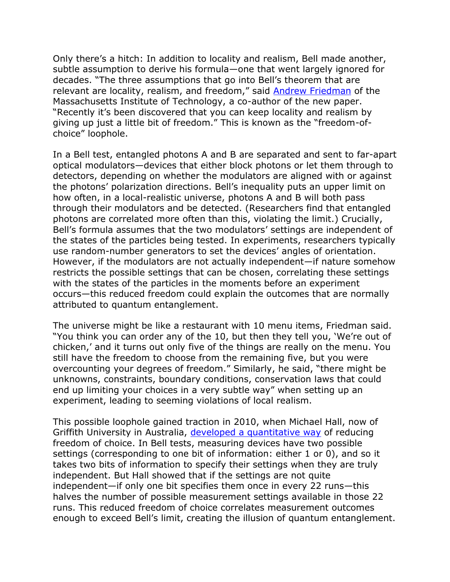Only there's a hitch: In addition to locality and realism, Bell made another, subtle assumption to derive his formula—one that went largely ignored for decades. "The three assumptions that go into Bell's theorem that are relevant are locality, realism, and freedom," said [Andrew Friedman](http://web.mit.edu/asf/www/) of the Massachusetts Institute of Technology, a co-author of the new paper. "Recently it's been discovered that you can keep locality and realism by giving up just a little bit of freedom." This is known as the "freedom-ofchoice" loophole.

In a Bell test, entangled photons A and B are separated and sent to far-apart optical modulators—devices that either block photons or let them through to detectors, depending on whether the modulators are aligned with or against the photons' polarization directions. Bell's inequality puts an upper limit on how often, in a local-realistic universe, photons A and B will both pass through their modulators and be detected. (Researchers find that entangled photons are correlated more often than this, violating the limit.) Crucially, Bell's formula assumes that the two modulators' settings are independent of the states of the particles being tested. In experiments, researchers typically use random-number generators to set the devices' angles of orientation. However, if the modulators are not actually independent—if nature somehow restricts the possible settings that can be chosen, correlating these settings with the states of the particles in the moments before an experiment occurs—this reduced freedom could explain the outcomes that are normally attributed to quantum entanglement.

The universe might be like a restaurant with 10 menu items, Friedman said. "You think you can order any of the 10, but then they tell you, 'We're out of chicken,' and it turns out only five of the things are really on the menu. You still have the freedom to choose from the remaining five, but you were overcounting your degrees of freedom." Similarly, he said, "there might be unknowns, constraints, boundary conditions, conservation laws that could end up limiting your choices in a very subtle way" when setting up an experiment, leading to seeming violations of local realism.

This possible loophole gained traction in 2010, when Michael Hall, now of Griffith University in Australia, [developed a quantitative way](https://arxiv.org/abs/1007.5518) of reducing freedom of choice. In Bell tests, measuring devices have two possible settings (corresponding to one bit of information: either 1 or 0), and so it takes two bits of information to specify their settings when they are truly independent. But Hall showed that if the settings are not quite independent—if only one bit specifies them once in every 22 runs—this halves the number of possible measurement settings available in those 22 runs. This reduced freedom of choice correlates measurement outcomes enough to exceed Bell's limit, creating the illusion of quantum entanglement.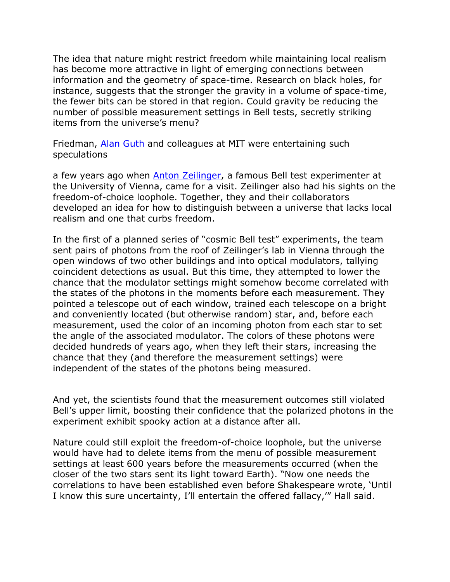The idea that nature might restrict freedom while maintaining local realism has become more attractive in light of emerging connections between information and the geometry of space-time. Research on black holes, for instance, suggests that the stronger the gravity in a volume of space-time, the fewer bits can be stored in that region. Could gravity be reducing the number of possible measurement settings in Bell tests, secretly striking items from the universe's menu?

Friedman, [Alan Guth](http://web.mit.edu/physics/people/faculty/guth_alan.html) and colleagues at MIT were entertaining such speculations

a few years ago when [Anton Zeilinger,](http://vcq.quantum.at/research/people/details/14-anton-zeilinger.html) a famous Bell test experimenter at the University of Vienna, came for a visit. Zeilinger also had his sights on the freedom-of-choice loophole. Together, they and their collaborators developed an idea for how to distinguish between a universe that lacks local realism and one that curbs freedom.

In the first of a planned series of "cosmic Bell test" experiments, the team sent pairs of photons from the roof of Zeilinger's lab in Vienna through the open windows of two other buildings and into optical modulators, tallying coincident detections as usual. But this time, they attempted to lower the chance that the modulator settings might somehow become correlated with the states of the photons in the moments before each measurement. They pointed a telescope out of each window, trained each telescope on a bright and conveniently located (but otherwise random) star, and, before each measurement, used the color of an incoming photon from each star to set the angle of the associated modulator. The colors of these photons were decided hundreds of years ago, when they left their stars, increasing the chance that they (and therefore the measurement settings) were independent of the states of the photons being measured.

And yet, the scientists found that the measurement outcomes still violated Bell's upper limit, boosting their confidence that the polarized photons in the experiment exhibit spooky action at a distance after all.

Nature could still exploit the freedom-of-choice loophole, but the universe would have had to delete items from the menu of possible measurement settings at least 600 years before the measurements occurred (when the closer of the two stars sent its light toward Earth). "Now one needs the correlations to have been established even before Shakespeare wrote, 'Until I know this sure uncertainty, I'll entertain the offered fallacy,'" Hall said.